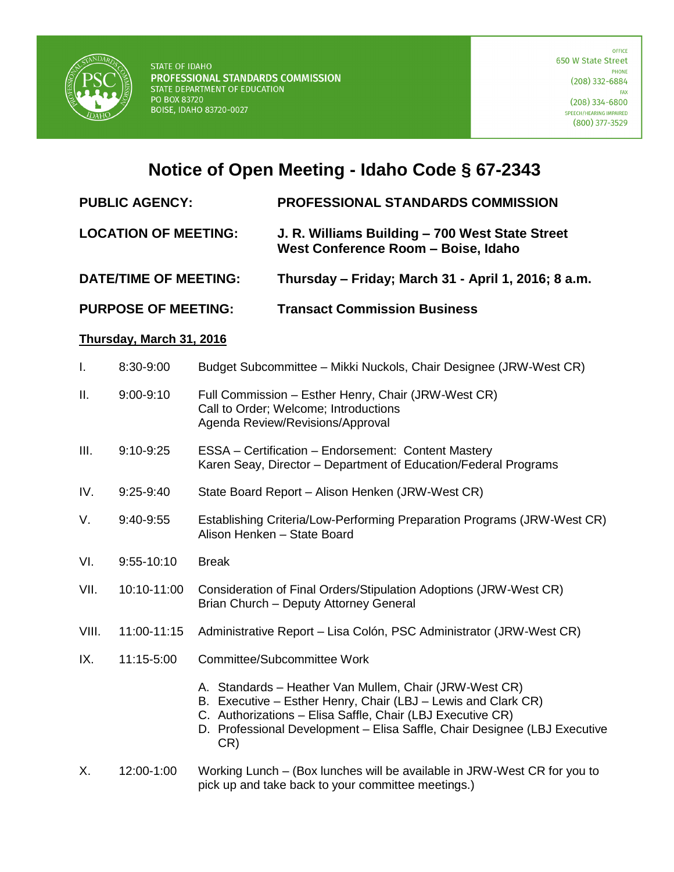

## **Notice of Open Meeting - Idaho Code § 67-2343**

**PUBLIC AGENCY: PROFESSIONAL STANDARDS COMMISSION**

- **LOCATION OF MEETING: J. R. Williams Building – 700 West State Street West Conference Room – Boise, Idaho**
- **DATE/TIME OF MEETING: Thursday – Friday; March 31 - April 1, 2016; 8 a.m.**
- **PURPOSE OF MEETING: Transact Commission Business**

## **Thursday, March 31, 2016**

| I.    | 8:30-9:00     | Budget Subcommittee – Mikki Nuckols, Chair Designee (JRW-West CR)                                                                                                                                                                                                         |
|-------|---------------|---------------------------------------------------------------------------------------------------------------------------------------------------------------------------------------------------------------------------------------------------------------------------|
| П.    | $9:00 - 9:10$ | Full Commission - Esther Henry, Chair (JRW-West CR)<br>Call to Order; Welcome; Introductions<br>Agenda Review/Revisions/Approval                                                                                                                                          |
| III.  | 9:10-9:25     | ESSA - Certification - Endorsement: Content Mastery<br>Karen Seay, Director - Department of Education/Federal Programs                                                                                                                                                    |
| IV.   | $9:25-9:40$   | State Board Report - Alison Henken (JRW-West CR)                                                                                                                                                                                                                          |
| V.    | 9:40-9:55     | Establishing Criteria/Low-Performing Preparation Programs (JRW-West CR)<br>Alison Henken - State Board                                                                                                                                                                    |
| VI.   | 9:55-10:10    | <b>Break</b>                                                                                                                                                                                                                                                              |
| VII.  | 10:10-11:00   | Consideration of Final Orders/Stipulation Adoptions (JRW-West CR)<br>Brian Church - Deputy Attorney General                                                                                                                                                               |
| VIII. | 11:00-11:15   | Administrative Report - Lisa Colón, PSC Administrator (JRW-West CR)                                                                                                                                                                                                       |
| IX.   | 11:15-5:00    | Committee/Subcommittee Work                                                                                                                                                                                                                                               |
|       |               | A. Standards - Heather Van Mullem, Chair (JRW-West CR)<br>B. Executive - Esther Henry, Chair (LBJ - Lewis and Clark CR)<br>C. Authorizations - Elisa Saffle, Chair (LBJ Executive CR)<br>D. Professional Development - Elisa Saffle, Chair Designee (LBJ Executive<br>CR) |
| X.    | 12:00-1:00    | Working Lunch – (Box lunches will be available in JRW-West CR for you to                                                                                                                                                                                                  |

X. 12:00-1:00 Working Lunch – (Box lunches will be available in JRW-West CR for you to pick up and take back to your committee meetings.)